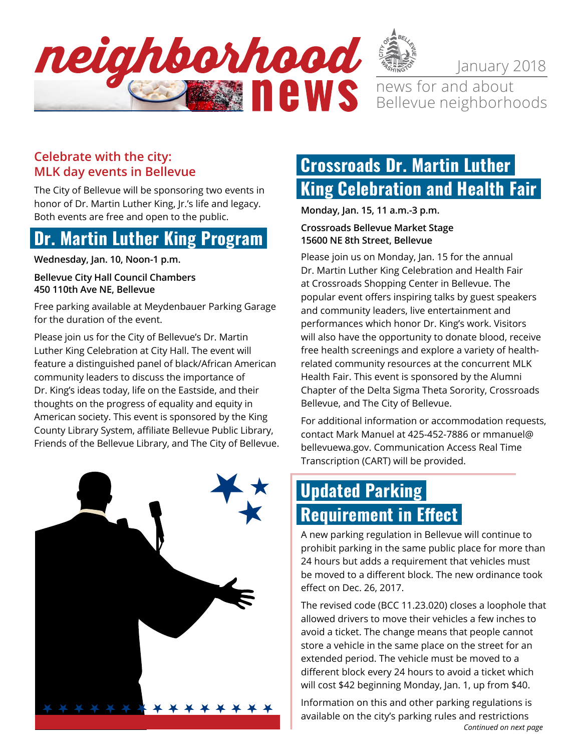

January 2018

news for and about Bellevue neighborhoods

### **Celebrate with the city: MLK day events in Bellevue**

The City of Bellevue will be sponsoring two events in honor of Dr. Martin Luther King, Jr.'s life and legacy. Both events are free and open to the public.

# **Dr. Martin Luther King Program**

**Wednesday, Jan. 10, Noon-1 p.m.** 

#### **Bellevue City Hall Council Chambers 450 110th Ave NE, Bellevue**

Free parking available at Meydenbauer Parking Garage for the duration of the event.

Please join us for the City of Bellevue's Dr. Martin Luther King Celebration at City Hall. The event will feature a distinguished panel of black/African American community leaders to discuss the importance of Dr. King's ideas today, life on the Eastside, and their thoughts on the progress of equality and equity in American society. This event is sponsored by the King County Library System, affiliate Bellevue Public Library, Friends of the Bellevue Library, and The City of Bellevue.



# **Crossroads Dr. Martin Luther King Celebration and Health Fair**

**Monday, Jan. 15, 11 a.m.-3 p.m.** 

### **Crossroads Bellevue Market Stage 15600 NE 8th Street, Bellevue**

Please join us on Monday, Jan. 15 for the annual Dr. Martin Luther King Celebration and Health Fair at Crossroads Shopping Center in Bellevue. The popular event offers inspiring talks by guest speakers and community leaders, live entertainment and performances which honor Dr. King's work. Visitors will also have the opportunity to donate blood, receive free health screenings and explore a variety of healthrelated community resources at the concurrent MLK Health Fair. This event is sponsored by the Alumni Chapter of the Delta Sigma Theta Sorority, Crossroads Bellevue, and The City of Bellevue.

For additional information or accommodation requests, contact Mark Manuel at 425-452-7886 or [mmanuel@](mailto:mmanuel@bellevuewa.gov) [bellevuewa.gov.](mailto:mmanuel@bellevuewa.gov) Communication Access Real Time Transcription (CART) will be provided.

# **Updated Parking Requirement in Effect**

A new parking regulation in Bellevue will continue to prohibit parking in the same public place for more than 24 hours but adds a requirement that vehicles must be moved to a different block. The new ordinance took effect on Dec. 26, 2017.

The revised code (BCC 11.23.020) closes a loophole that allowed drivers to move their vehicles a few inches to avoid a ticket. The change means that people cannot store a vehicle in the same place on the street for an extended period. The vehicle must be moved to a different block every 24 hours to avoid a ticket which will cost \$42 beginning Monday, Jan. 1, up from \$40.

*Continued on next page* Information on this and other parking regulations is available on the city's parking rules and restrictions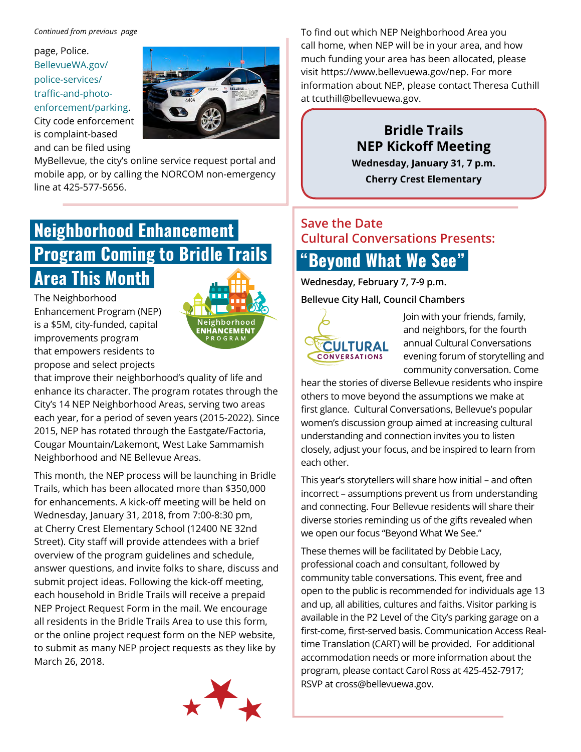#### *Continued from previous page*

page, [Police.](https://police.bellevuewa.gov/police-services/traffic-and-photo-enforcement/parking/) [BellevueWA.gov/](https://police.bellevuewa.gov/police-services/traffic-and-photo-enforcement/parking/) [police-services/](https://police.bellevuewa.gov/police-services/traffic-and-photo-enforcement/parking/) [traffic-and-photo](https://police.bellevuewa.gov/police-services/traffic-and-photo-enforcement/parking/)[enforcement/parking](https://police.bellevuewa.gov/police-services/traffic-and-photo-enforcement/parking/). City code enforcement is complaint-based and can be filed using



MyBellevue, the city's online service request portal and mobile app, or by calling the NORCOM non-emergency line at 425-577-5656.

# **Neighborhood Enhancement Program Coming to Bridle Trails Area This Month**

The Neighborhood Enhancement Program (NEP) is a \$5M, city-funded, capital improvements program that empowers residents to propose and select projects



that improve their neighborhood's quality of life and enhance its character. The program rotates through the City's 14 NEP Neighborhood Areas, serving two areas each year, for a period of seven years (2015-2022). Since 2015, NEP has rotated through the Eastgate/Factoria, Cougar Mountain/Lakemont, West Lake Sammamish Neighborhood and NE Bellevue Areas.

This month, the NEP process will be launching in Bridle Trails, which has been allocated more than \$350,000 for enhancements. A kick-off meeting will be held on Wednesday, January 31, 2018, from 7:00-8:30 pm, at Cherry Crest Elementary School (12400 NE 32nd Street). City staff will provide attendees with a brief overview of the program guidelines and schedule, answer questions, and invite folks to share, discuss and submit project ideas. Following the kick-off meeting, each household in Bridle Trails will receive a prepaid NEP Project Request Form in the mail. We encourage all residents in the Bridle Trails Area to use this form, or the online project request form on the NEP website, to submit as many NEP project requests as they like by March 26, 2018.



To find out which NEP Neighborhood Area you call home, when NEP will be in your area, and how much funding your area has been allocated, please visit https://www.bellevuewa.gov/nep. For more information about NEP, please contact Theresa Cuthill at [tcuthill@bellevuewa.gov](mailto:tcuthill@bellevuewa.gov).

## **Bridle Trails NEP Kickoff Meeting**

**Wednesday, January 31, 7 p.m. Cherry Crest Elementary**

## **Save the Date Cultural Conversations Presents:**

## **"Beyond What We See"**

**Wednesday, February 7, 7-9 p.m.**

#### **Bellevue City Hall, Council Chambers**



Join with your friends, family, and neighbors, for the fourth annual Cultural Conversations evening forum of storytelling and community conversation. Come

hear the stories of diverse Bellevue residents who inspire others to move beyond the assumptions we make at first glance. Cultural Conversations, Bellevue's popular women's discussion group aimed at increasing cultural understanding and connection invites you to listen closely, adjust your focus, and be inspired to learn from each other.

This year's storytellers will share how initial – and often incorrect – assumptions prevent us from understanding and connecting. Four Bellevue residents will share their diverse stories reminding us of the gifts revealed when we open our focus "Beyond What We See."

These themes will be facilitated by Debbie Lacy, professional coach and consultant, followed by community table conversations. This event, free and open to the public is recommended for individuals age 13 and up, all abilities, cultures and faiths. Visitor parking is available in the P2 Level of the City's parking garage on a first-come, first-served basis. Communication Access Realtime Translation (CART) will be provided. For additional accommodation needs or more information about the program, please contact Carol Ross at 425-452-7917; RSVP at cross@bellevuewa.gov.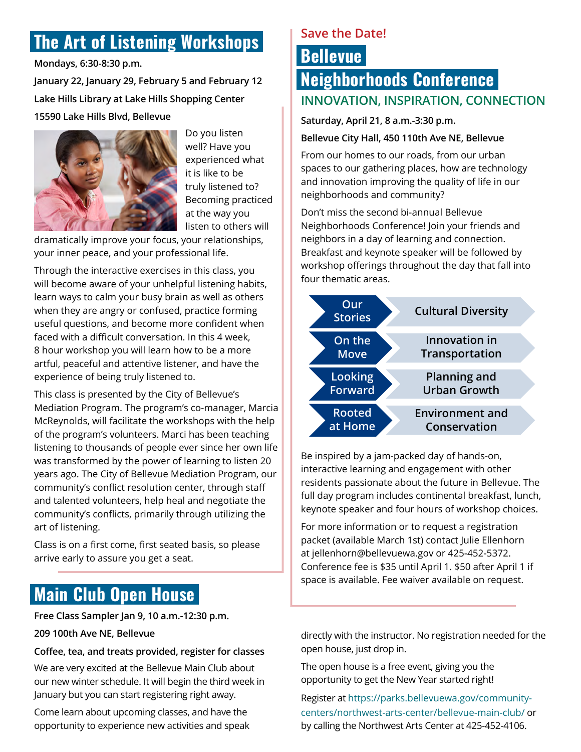# **The Art of Listening Workshops**

**Mondays, 6:30-8:30 p.m.**

**January 22, January 29, February 5 and February 12 Lake Hills Library at Lake Hills Shopping Center 15590 Lake Hills Blvd, Bellevue**



Do you listen well? Have you experienced what it is like to be truly listened to? Becoming practiced at the way you listen to others will

dramatically improve your focus, your relationships, your inner peace, and your professional life.

Through the interactive exercises in this class, you will become aware of your unhelpful listening habits, learn ways to calm your busy brain as well as others when they are angry or confused, practice forming useful questions, and become more confident when faced with a difficult conversation. In this 4 week, 8 hour workshop you will learn how to be a more artful, peaceful and attentive listener, and have the experience of being truly listened to.

This class is presented by the City of Bellevue's Mediation Program. The program's co-manager, Marcia McReynolds, will facilitate the workshops with the help of the program's volunteers. Marci has been teaching listening to thousands of people ever since her own life was transformed by the power of learning to listen 20 years ago. The City of Bellevue Mediation Program, our community's conflict resolution center, through staff and talented volunteers, help heal and negotiate the community's conflicts, primarily through utilizing the art of listening.

Class is on a first come, first seated basis, so please arrive early to assure you get a seat.

# **Main Club Open House**

**Free Class Sampler Jan 9, 10 a.m.-12:30 p.m.**

#### **209 100th Ave NE, Bellevue**

**Coffee, tea, and treats provided, register for classes**

We are very excited at the Bellevue Main Club about our new winter schedule. It will begin the third week in January but you can start registering right away.

Come learn about upcoming classes, and have the opportunity to experience new activities and speak

### **Save the Date!**

# **Bellevue Neighborhoods Conference INNOVATION, INSPIRATION, CONNECTION**

**Saturday, April 21, 8 a.m.-3:30 p.m.**

#### **Bellevue City Hall, 450 110th Ave NE, Bellevue**

From our homes to our roads, from our urban spaces to our gathering places, how are technology and innovation improving the quality of life in our neighborhoods and community?

Don't miss the second bi-annual Bellevue Neighborhoods Conference! Join your friends and neighbors in a day of learning and connection. Breakfast and keynote speaker will be followed by workshop offerings throughout the day that fall into four thematic areas.



Be inspired by a jam-packed day of hands-on, interactive learning and engagement with other residents passionate about the future in Bellevue. The full day program includes continental breakfast, lunch, keynote speaker and four hours of workshop choices.

For more information or to request a registration packet (available March 1st) contact Julie Ellenhorn at [jellenhorn@bellevuewa.gov](mailto:jellenhorn@bellevuewa.gov) or 425-452-5372. Conference fee is \$35 until April 1. \$50 after April 1 if space is available. Fee waiver available on request.

directly with the instructor. No registration needed for the open house, just drop in.

The open house is a free event, giving you the opportunity to get the New Year started right!

Register at https://parks.bellevuewa.gov/communitycenters/northwest-arts-center/bellevue-main-club/ or by calling the Northwest Arts Center at 425-452-4106.